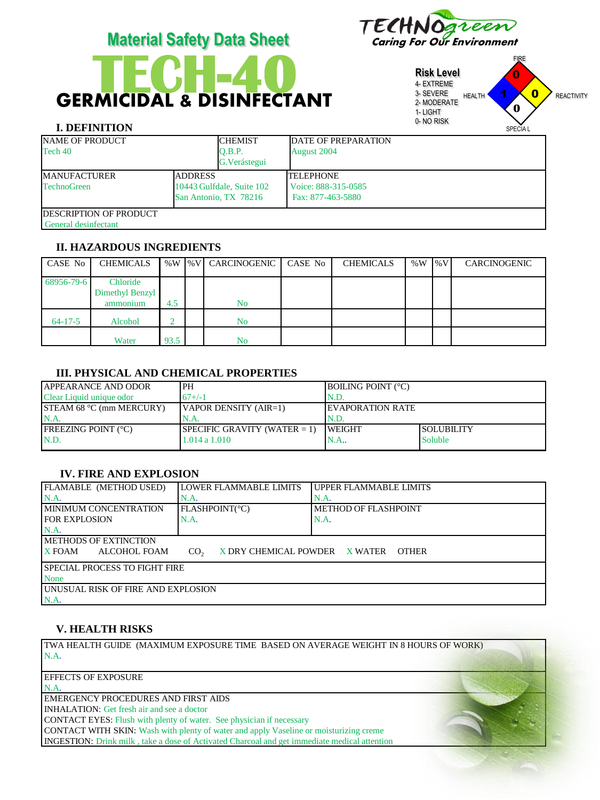# GERMICIDAL & DISINFECTANT **TECH-40**



**Risk Level** 4- EXTREME 3- SEVERE 2- MODERATE 1- LIGHT 0- NO RISK FIRE HEALTH **1 X 0** REACTIVITY SPECIA L 1 0  $\mathbf{0}$ **0**

# **I. DEFINITION**

| <b>NAME OF PRODUCT</b>         |                           | <b>CHEMIST</b> | DATE OF PREPARATION |  |  |
|--------------------------------|---------------------------|----------------|---------------------|--|--|
| Tech 40                        |                           | O.B.P.         | August 2004         |  |  |
|                                |                           | G. Verástegui  |                     |  |  |
| <b>MANUFACTURER</b>            | <b>ADDRESS</b>            |                | <b>TELEPHONE</b>    |  |  |
| <b>TechnoGreen</b>             | 10443 Gulfdale, Suite 102 |                | Voice: 888-315-0585 |  |  |
| San Antonio, TX 78216          |                           |                | Fax: 877-463-5880   |  |  |
| <b>IDESCRIPTION OF PRODUCT</b> |                           |                |                     |  |  |
| General desinfectant           |                           |                |                     |  |  |

# **II. HAZARDOUS INGREDIENTS**

| CASE No       | <b>CHEMICALS</b> |      | %W  %V   CARCINOGENIC | CASE No | <b>CHEMICALS</b> | $%W$ %V | CARCINOGENIC |
|---------------|------------------|------|-----------------------|---------|------------------|---------|--------------|
| 68956-79-6    | Chloride         |      |                       |         |                  |         |              |
|               | Dimethyl Benzyl  |      |                       |         |                  |         |              |
|               | ammonium         | 4.5  | No                    |         |                  |         |              |
| $64 - 17 - 5$ | Alcohol          |      | No                    |         |                  |         |              |
|               | Water            | 93.5 | No                    |         |                  |         |              |

#### **III. PHYSICAL AND CHEMICAL PROPERTIES**

| <b>JAPPEARANCE AND ODOR</b>     | 'PH                             | <b>BOILING POINT (°C)</b> |                   |
|---------------------------------|---------------------------------|---------------------------|-------------------|
| Clear Liquid unique odor        | $67+/-1$                        | IN.D.                     |                   |
| <b>STEAM 68 °C (mm MERCURY)</b> | $\forall$ APOR DENSITY (AIR=1)  | <b>IEVAPORATION RATE</b>  |                   |
| N.A                             | N.A.                            | IN.D.                     |                   |
| <b>IFREEZING POINT (°C)</b>     | SPECIFIC GRAVITY (WATER $= 1$ ) | <b>WEIGHT</b>             | <b>SOLUBILITY</b> |
| N.D.                            | 1.014a1.010                     | N.A                       | Soluble           |
|                                 |                                 |                           |                   |

#### **IV. FIRE AND EXPLOSION**

| FLAMABLE (METHOD USED)                                                                            | LOWER FLAMMABLE LIMITS | UPPER FLAMMABLE LIMITS |  |  |  |  |
|---------------------------------------------------------------------------------------------------|------------------------|------------------------|--|--|--|--|
| $NA$ .                                                                                            | N.A                    | N.A                    |  |  |  |  |
| <b>IMINIMUM CONCENTRATION</b>                                                                     | FLASHPOINT(°C)         | METHOD OF FLASHPOINT   |  |  |  |  |
| <b>FOR EXPLOSION</b>                                                                              | N.A.                   | N.A.                   |  |  |  |  |
| IN.A.                                                                                             |                        |                        |  |  |  |  |
| <b>IMETHODS OF EXTINCTION</b>                                                                     |                        |                        |  |  |  |  |
| <b>X</b> FOAM<br>ALCOHOL FOAM<br>X DRY CHEMICAL POWDER X WATER<br>CO <sub>2</sub><br><b>OTHER</b> |                        |                        |  |  |  |  |
| <b>ISPECIAL PROCESS TO FIGHT FIRE</b>                                                             |                        |                        |  |  |  |  |
| None                                                                                              |                        |                        |  |  |  |  |
| LUNUSUAL RISK OF FIRE AND EXPLOSION                                                               |                        |                        |  |  |  |  |
| N.A.                                                                                              |                        |                        |  |  |  |  |

#### **V. HEALTH RISKS**

TWA HEALTH GUIDE (MAXIMUM EXPOSURE TIME BASED ON AVERAGE WEIGHT IN 8 HOURS OF WORK) N.A.

#### EFFECTS OF EXPOSURE

N.A.

EMERGENCY PROCEDURES AND FIRST AIDS

INHALATION: Get fresh air and see a doctor

CONTACT EYES: Flush with plenty of water. See physician if necessary

CONTACT WITH SKIN: Wash with plenty of water and apply Vaseline or moisturizing creme INGESTION: Drink milk , take a dose of Activated Charcoal and get immediate medical attention